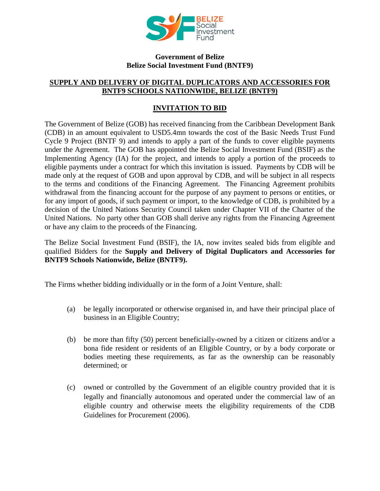

## **Government of Belize Belize Social Investment Fund (BNTF9)**

## **SUPPLY AND DELIVERY OF DIGITAL DUPLICATORS AND ACCESSORIES FOR BNTF9 SCHOOLS NATIONWIDE, BELIZE (BNTF9)**

## **INVITATION TO BID**

The Government of Belize (GOB) has received financing from the Caribbean Development Bank (CDB) in an amount equivalent to USD5.4mn towards the cost of the Basic Needs Trust Fund Cycle 9 Project (BNTF 9) and intends to apply a part of the funds to cover eligible payments under the Agreement. The GOB has appointed the Belize Social Investment Fund (BSIF) as the Implementing Agency (IA) for the project, and intends to apply a portion of the proceeds to eligible payments under a contract for which this invitation is issued. Payments by CDB will be made only at the request of GOB and upon approval by CDB, and will be subject in all respects to the terms and conditions of the Financing Agreement. The Financing Agreement prohibits withdrawal from the financing account for the purpose of any payment to persons or entities, or for any import of goods, if such payment or import, to the knowledge of CDB, is prohibited by a decision of the United Nations Security Council taken under Chapter VII of the Charter of the United Nations. No party other than GOB shall derive any rights from the Financing Agreement or have any claim to the proceeds of the Financing.

The Belize Social Investment Fund (BSIF), the IA, now invites sealed bids from eligible and qualified Bidders for the **Supply and Delivery of Digital Duplicators and Accessories for BNTF9 Schools Nationwide, Belize (BNTF9).**

The Firms whether bidding individually or in the form of a Joint Venture, shall:

- (a) be legally incorporated or otherwise organised in, and have their principal place of business in an Eligible Country;
- (b) be more than fifty (50) percent beneficially-owned by a citizen or citizens and/or a bona fide resident or residents of an Eligible Country, or by a body corporate or bodies meeting these requirements, as far as the ownership can be reasonably determined; or
- (c) owned or controlled by the Government of an eligible country provided that it is legally and financially autonomous and operated under the commercial law of an eligible country and otherwise meets the eligibility requirements of the CDB Guidelines for Procurement (2006).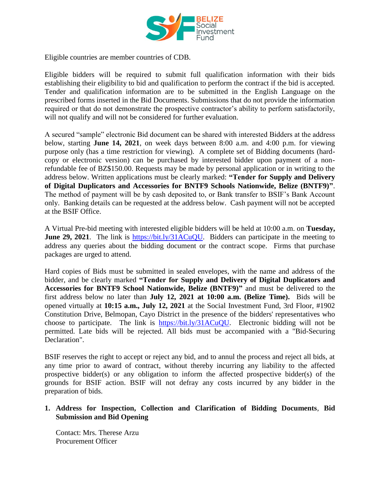

Eligible countries are member countries of CDB.

Eligible bidders will be required to submit full qualification information with their bids establishing their eligibility to bid and qualification to perform the contract if the bid is accepted. Tender and qualification information are to be submitted in the English Language on the prescribed forms inserted in the Bid Documents. Submissions that do not provide the information required or that do not demonstrate the prospective contractor's ability to perform satisfactorily, will not qualify and will not be considered for further evaluation.

A secured "sample" electronic Bid document can be shared with interested Bidders at the address below, starting **June 14, 2021**, on week days between 8:00 a.m. and 4:00 p.m. for viewing purpose only (has a time restriction for viewing). A complete set of Bidding documents (hardcopy or electronic version) can be purchased by interested bidder upon payment of a nonrefundable fee of BZ\$150.00. Requests may be made by personal application or in writing to the address below. Written applications must be clearly marked: **"Tender for Supply and Delivery of Digital Duplicators and Accessories for BNTF9 Schools Nationwide, Belize (BNTF9)"**. The method of payment will be by cash deposited to, or Bank transfer to BSIF's Bank Account only. Banking details can be requested at the address below. Cash payment will not be accepted at the BSIF Office.

A Virtual Pre-bid meeting with interested eligible bidders will be held at 10:00 a.m. on **Tuesday, June 29, 2021**. The link is https://bit.ly/31ACuOU. Bidders can participate in the meeting to address any queries about the bidding document or the contract scope. Firms that purchase packages are urged to attend.

Hard copies of Bids must be submitted in sealed envelopes, with the name and address of the bidder, and be clearly marked **"Tender for Supply and Delivery of Digital Duplicators and Accessories for BNTF9 School Nationwide, Belize (BNTF9)"** and must be delivered to the first address below no later than **July 12, 2021 at 10:00 a.m. (Belize Time).** Bids will be opened virtually at **10:15 a.m., July 12, 2021** at the Social Investment Fund, 3rd Floor, #1902 Constitution Drive, Belmopan, Cayo District in the presence of the bidders' representatives who choose to participate. The link is [https://bit.ly/31ACuQU.](https://bit.ly/31ACuQU) Electronic bidding will not be permitted. Late bids will be rejected. All bids must be accompanied with a "Bid-Securing Declaration".

BSIF reserves the right to accept or reject any bid, and to annul the process and reject all bids, at any time prior to award of contract, without thereby incurring any liability to the affected prospective bidder(s) or any obligation to inform the affected prospective bidder(s) of the grounds for BSIF action. BSIF will not defray any costs incurred by any bidder in the preparation of bids.

## **1. Address for Inspection, Collection and Clarification of Bidding Documents**, **Bid Submission and Bid Opening**

Contact: Mrs. Therese Arzu Procurement Officer